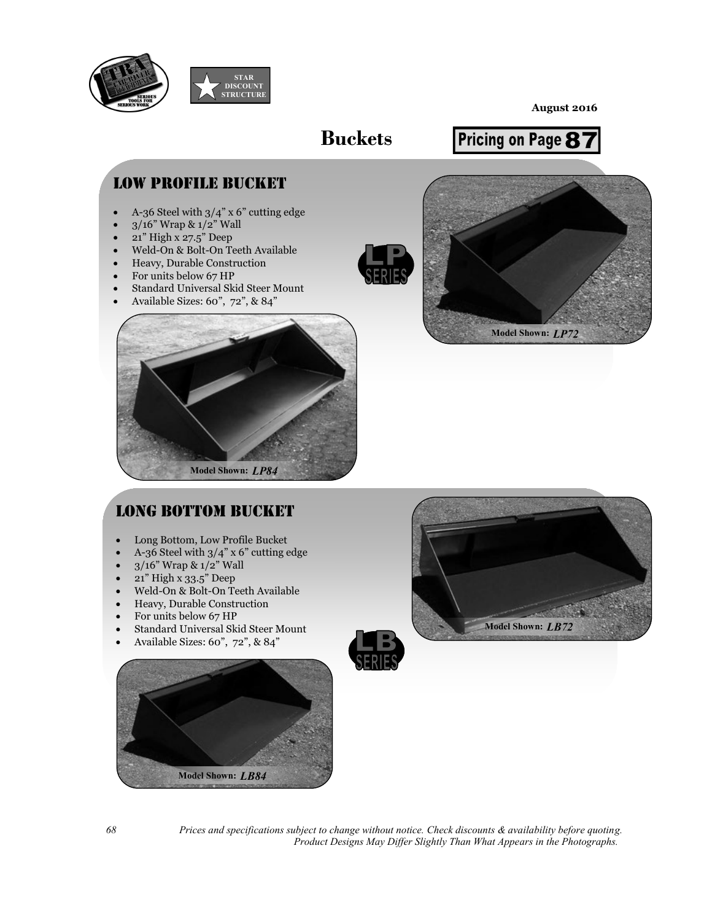



# **Buckets**



#### low profile bucket

A-36 Steel with  $3/4$ " x 6" cutting edge

**STAR DISCOUNT STRUCTURE**

- x 3/16" Wrap & 1/2" Wall
- x 21" High x 27.5" Deep
- x Weld-On & Bolt-On Teeth Available
- Heavy, Durable Construction
- For units below 67 HP
- x Standard Universal Skid Steer Mount
- x Available Sizes: 60", 72", & 84"





**Model Shown:** *LB72*

#### long bottom bucket

- Long Bottom, Low Profile Bucket
- A-36 Steel with  $3/4$ " x 6" cutting edge
- x 3/16" Wrap & 1/2" Wall
- x 21" High x 33.5" Deep
- x Weld-On & Bolt-On Teeth Available
- Heavy, Durable Construction
- For units below 67 HP
- x Standard Universal Skid Steer Mount
- x Available Sizes: 60", 72", & 84"





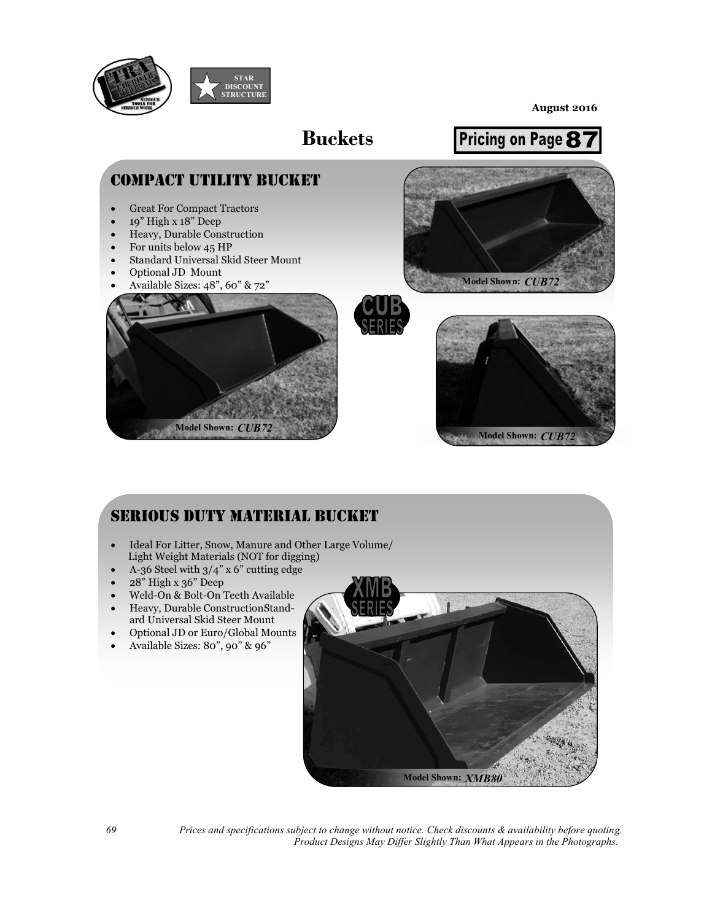

**August 2016** 



### serious duty material bucket

- Ideal For Litter, Snow, Manure and Other Large Volume/ Light Weight Materials (NOT for digging)
- A-36 Steel with  $3/4$ " x 6" cutting edge
- $\bullet$  28" High x 36" Deep
- x Weld-On & Bolt-On Teeth Available
- Heavy, Durable ConstructionStandard Universal Skid Steer Mount
- x Optional JD or Euro/Global Mounts
- x Available Sizes: 80", 90" & 96"



 *69 Prices and specifications subject to change without notice. Check discounts & availability before quoting. Product Designs May Differ Slightly Than What Appears in the Photographs.*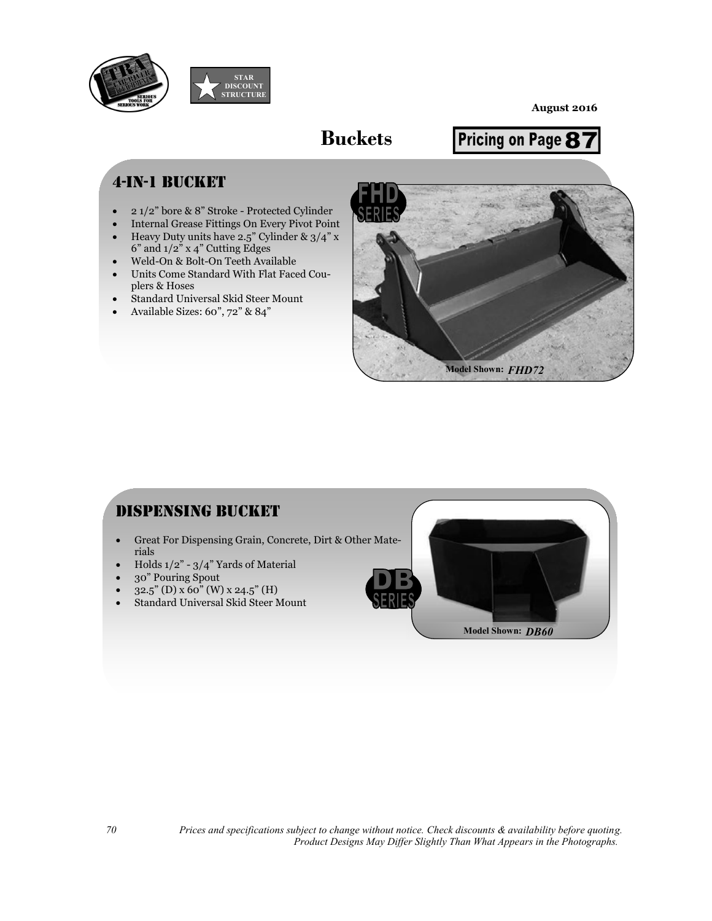

**August 2016** 

# **Buckets**

Pricing on Page 87

### 4-in-1 bucket

- x 2 1/2" bore & 8" Stroke Protected Cylinder
- x Internal Grease Fittings On Every Pivot Point
- x Heavy Duty units have 2.5" Cylinder & 3/4" x  $6"$  and  $1/2"$  x 4" Cutting Edges
- x Weld-On & Bolt-On Teeth Available
- Units Come Standard With Flat Faced Couplers & Hoses
- x Standard Universal Skid Steer Mount
- x Available Sizes: 60", 72" & 84"